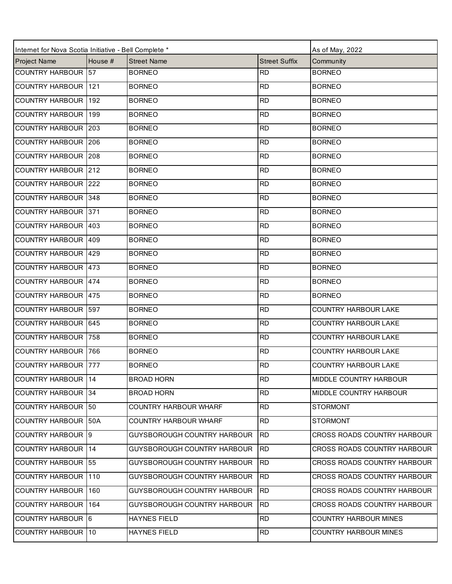| Internet for Nova Scotia Initiative - Bell Complete * |         | As of May, 2022                    |                      |                              |
|-------------------------------------------------------|---------|------------------------------------|----------------------|------------------------------|
| <b>Project Name</b>                                   | House # | <b>Street Name</b>                 | <b>Street Suffix</b> | Community                    |
| COUNTRY HARBOUR 57                                    |         | <b>BORNEO</b>                      | <b>RD</b>            | <b>BORNEO</b>                |
| <b>COUNTRY HARBOUR</b>                                | 121     | <b>BORNEO</b>                      | <b>RD</b>            | <b>BORNEO</b>                |
| <b>COUNTRY HARBOUR</b>                                | 192     | <b>BORNEO</b>                      | <b>RD</b>            | <b>BORNEO</b>                |
| <b>COUNTRY HARBOUR 199</b>                            |         | <b>BORNEO</b>                      | <b>RD</b>            | <b>BORNEO</b>                |
| COUNTRY HARBOUR 203                                   |         | <b>BORNEO</b>                      | <b>RD</b>            | <b>BORNEO</b>                |
| COUNTRY HARBOUR 206                                   |         | <b>BORNEO</b>                      | <b>RD</b>            | <b>BORNEO</b>                |
| COUNTRY HARBOUR 208                                   |         | <b>BORNEO</b>                      | <b>RD</b>            | <b>BORNEO</b>                |
| COUNTRY HARBOUR 212                                   |         | <b>BORNEO</b>                      | <b>RD</b>            | <b>BORNEO</b>                |
| <b>COUNTRY HARBOUR 222</b>                            |         | <b>BORNEO</b>                      | <b>RD</b>            | <b>BORNEO</b>                |
| <b>COUNTRY HARBOUR 348</b>                            |         | <b>BORNEO</b>                      | <b>RD</b>            | <b>BORNEO</b>                |
| COUNTRY HARBOUR 371                                   |         | <b>BORNEO</b>                      | <b>RD</b>            | <b>BORNEO</b>                |
| COUNTRY HARBOUR 403                                   |         | <b>BORNEO</b>                      | <b>RD</b>            | <b>BORNEO</b>                |
| COUNTRY HARBOUR 409                                   |         | <b>BORNEO</b>                      | <b>RD</b>            | <b>BORNEO</b>                |
| COUNTRY HARBOUR 429                                   |         | <b>BORNEO</b>                      | <b>RD</b>            | <b>BORNEO</b>                |
| COUNTRY HARBOUR 473                                   |         | <b>BORNEO</b>                      | <b>RD</b>            | <b>BORNEO</b>                |
| COUNTRY HARBOUR 474                                   |         | <b>BORNEO</b>                      | <b>RD</b>            | <b>BORNEO</b>                |
| COUNTRY HARBOUR 475                                   |         | <b>BORNEO</b>                      | <b>RD</b>            | <b>BORNEO</b>                |
| COUNTRY HARBOUR 597                                   |         | <b>BORNEO</b>                      | <b>RD</b>            | <b>COUNTRY HARBOUR LAKE</b>  |
| COUNTRY HARBOUR 645                                   |         | <b>BORNEO</b>                      | <b>RD</b>            | <b>COUNTRY HARBOUR LAKE</b>  |
| <b>COUNTRY HARBOUR 758</b>                            |         | <b>BORNEO</b>                      | <b>RD</b>            | <b>COUNTRY HARBOUR LAKE</b>  |
| <b>COUNTRY HARBOUR 766</b>                            |         | <b>BORNEO</b>                      | <b>RD</b>            | <b>COUNTRY HARBOUR LAKE</b>  |
| COUNTRY HARBOUR 777                                   |         | <b>BORNEO</b>                      | <b>RD</b>            | <b>COUNTRY HARBOUR LAKE</b>  |
| COUNTRY HARBOUR 14                                    |         | <b>BROAD HORN</b>                  | <b>RD</b>            | MIDDLE COUNTRY HARBOUR       |
| COUNTRY HARBOUR 34                                    |         | <b>BROAD HORN</b>                  | <b>RD</b>            | MIDDLE COUNTRY HARBOUR       |
| COUNTRY HARBOUR 50                                    |         | <b>COUNTRY HARBOUR WHARF</b>       | <b>RD</b>            | <b>STORMONT</b>              |
| COUNTRY HARBOUR 50A                                   |         | <b>COUNTRY HARBOUR WHARF</b>       | <b>RD</b>            | <b>STORMONT</b>              |
| COUNTRY HARBOUR 9                                     |         | <b>GUYSBOROUGH COUNTRY HARBOUR</b> | <b>RD</b>            | CROSS ROADS COUNTRY HARBOUR  |
| <b>COUNTRY HARBOUR 14</b>                             |         | <b>GUYSBOROUGH COUNTRY HARBOUR</b> | <b>RD</b>            | CROSS ROADS COUNTRY HARBOUR  |
| COUNTRY HARBOUR 55                                    |         | GUYSBOROUGH COUNTRY HARBOUR        | <b>RD</b>            | CROSS ROADS COUNTRY HARBOUR  |
| COUNTRY HARBOUR 110                                   |         | GUYSBOROUGH COUNTRY HARBOUR        | <b>RD</b>            | CROSS ROADS COUNTRY HARBOUR  |
| COUNTRY HARBOUR 160                                   |         | GUYSBOROUGH COUNTRY HARBOUR        | <b>RD</b>            | CROSS ROADS COUNTRY HARBOUR  |
| <b>COUNTRY HARBOUR</b>                                | 164     | GUYSBOROUGH COUNTRY HARBOUR        | <b>RD</b>            | CROSS ROADS COUNTRY HARBOUR  |
| COUNTRY HARBOUR 6                                     |         | HAYNES FIELD                       | <b>RD</b>            | <b>COUNTRY HARBOUR MINES</b> |
| COUNTRY HARBOUR 10                                    |         | <b>HAYNES FIELD</b>                | <b>RD</b>            | <b>COUNTRY HARBOUR MINES</b> |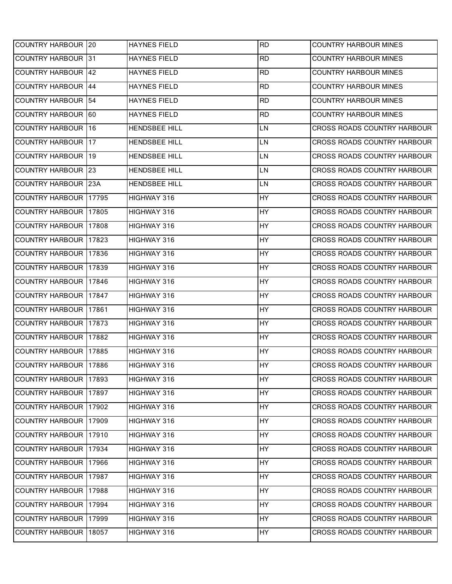| COUNTRY HARBOUR 20           |           | <b>HAYNES FIELD</b>  | <b>RD</b> | <b>COUNTRY HARBOUR MINES</b>       |
|------------------------------|-----------|----------------------|-----------|------------------------------------|
| <b>COUNTRY HARBOUR 131</b>   |           | <b>HAYNES FIELD</b>  | <b>RD</b> | <b>COUNTRY HARBOUR MINES</b>       |
| <b>COUNTRY HARBOUR 142</b>   |           | <b>HAYNES FIELD</b>  | <b>RD</b> | <b>COUNTRY HARBOUR MINES</b>       |
| <b>COUNTRY HARBOUR</b>       | <b>44</b> | <b>HAYNES FIELD</b>  | <b>RD</b> | <b>COUNTRY HARBOUR MINES</b>       |
| <b>COUNTRY HARBOUR 54</b>    |           | <b>HAYNES FIELD</b>  | <b>RD</b> | <b>COUNTRY HARBOUR MINES</b>       |
| COUNTRY HARBOUR 60           |           | <b>HAYNES FIELD</b>  | <b>RD</b> | <b>COUNTRY HARBOUR MINES</b>       |
| <b>COUNTRY HARBOUR 16</b>    |           | <b>HENDSBEE HILL</b> | LN        | <b>CROSS ROADS COUNTRY HARBOUR</b> |
| <b>COUNTRY HARBOUR 17</b>    |           | HENDSBEE HILL        | LN        | CROSS ROADS COUNTRY HARBOUR        |
| <b>COUNTRY HARBOUR 19</b>    |           | <b>HENDSBEE HILL</b> | LN        | <b>CROSS ROADS COUNTRY HARBOUR</b> |
| <b>COUNTRY HARBOUR 23</b>    |           | <b>HENDSBEE HILL</b> | LN        | CROSS ROADS COUNTRY HARBOUR        |
| <b>COUNTRY HARBOUR</b>       | 123A      | <b>HENDSBEE HILL</b> | LN        | <b>CROSS ROADS COUNTRY HARBOUR</b> |
| <b>COUNTRY HARBOUR</b>       | 17795     | HIGHWAY 316          | HY        | CROSS ROADS COUNTRY HARBOUR        |
| COUNTRY HARBOUR   17805      |           | HIGHWAY 316          | HY        | CROSS ROADS COUNTRY HARBOUR        |
| <b>COUNTRY HARBOUR</b>       | 17808     | HIGHWAY 316          | HY        | <b>CROSS ROADS COUNTRY HARBOUR</b> |
| <b>COUNTRY HARBOUR 17823</b> |           | HIGHWAY 316          | <b>HY</b> | <b>CROSS ROADS COUNTRY HARBOUR</b> |
| <b>COUNTRY HARBOUR</b>       | 17836     | HIGHWAY 316          | HY        | <b>CROSS ROADS COUNTRY HARBOUR</b> |
| COUNTRY HARBOUR 17839        |           | HIGHWAY 316          | HY        | CROSS ROADS COUNTRY HARBOUR        |
| <b>COUNTRY HARBOUR</b>       | 17846     | HIGHWAY 316          | HY        | CROSS ROADS COUNTRY HARBOUR        |
| <b>COUNTRY HARBOUR</b>       | 17847     | HIGHWAY 316          | HY        | CROSS ROADS COUNTRY HARBOUR        |
| COUNTRY HARBOUR 17861        |           | HIGHWAY 316          | <b>HY</b> | CROSS ROADS COUNTRY HARBOUR        |
| <b>COUNTRY HARBOUR</b>       | 17873     | HIGHWAY 316          | HY        | <b>CROSS ROADS COUNTRY HARBOUR</b> |
| <b>COUNTRY HARBOUR 17882</b> |           | HIGHWAY 316          | HY        | <b>CROSS ROADS COUNTRY HARBOUR</b> |
| COUNTRY HARBOUR   17885      |           | HIGHWAY 316          | HY        | CROSS ROADS COUNTRY HARBOUR        |
| COUNTRY HARBOUR 17886        |           | HIGHWAY 316          | HY        | CROSS ROADS COUNTRY HARBOUR        |
| COUNTRY HARBOUR 17893        |           | HIGHWAY 316          | HY        | CROSS ROADS COUNTRY HARBOUR        |
| COUNTRY HARBOUR 17897        |           | HIGHWAY 316          | HY        | CROSS ROADS COUNTRY HARBOUR        |
| COUNTRY HARBOUR 17902        |           | HIGHWAY 316          | HY        | CROSS ROADS COUNTRY HARBOUR        |
| COUNTRY HARBOUR 17909        |           | HIGHWAY 316          | HY        | CROSS ROADS COUNTRY HARBOUR        |
| COUNTRY HARBOUR 17910        |           | HIGHWAY 316          | HY        | CROSS ROADS COUNTRY HARBOUR        |
| COUNTRY HARBOUR 17934        |           | HIGHWAY 316          | HY        | CROSS ROADS COUNTRY HARBOUR        |
| COUNTRY HARBOUR 17966        |           | HIGHWAY 316          | HY        | CROSS ROADS COUNTRY HARBOUR        |
| COUNTRY HARBOUR 17987        |           | HIGHWAY 316          | HY        | CROSS ROADS COUNTRY HARBOUR        |
| COUNTRY HARBOUR 17988        |           | HIGHWAY 316          | HY        | CROSS ROADS COUNTRY HARBOUR        |
| <b>COUNTRY HARBOUR</b>       | 17994     | HIGHWAY 316          | HY        | CROSS ROADS COUNTRY HARBOUR        |
| COUNTRY HARBOUR   17999      |           | HIGHWAY 316          | HY        | CROSS ROADS COUNTRY HARBOUR        |
| COUNTRY HARBOUR 18057        |           | HIGHWAY 316          | HY        | CROSS ROADS COUNTRY HARBOUR        |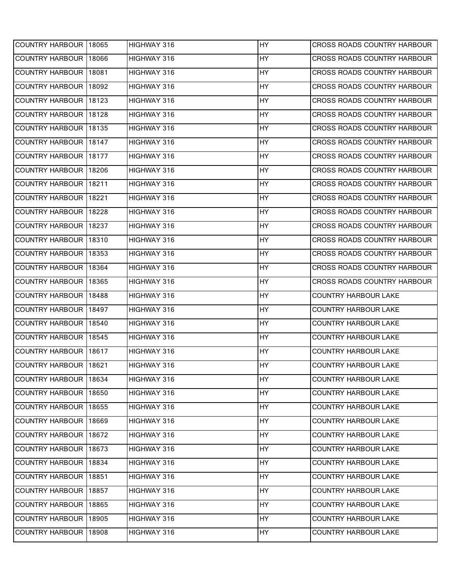| <b>COUNTRY HARBOUR 18065</b> |       | HIGHWAY 316 | <b>HY</b> | <b>CROSS ROADS COUNTRY HARBOUR</b> |
|------------------------------|-------|-------------|-----------|------------------------------------|
| <b>COUNTRY HARBOUR</b>       | 18066 | HIGHWAY 316 | <b>HY</b> | CROSS ROADS COUNTRY HARBOUR        |
| <b>COUNTRY HARBOUR</b>       | 18081 | HIGHWAY 316 | <b>HY</b> | CROSS ROADS COUNTRY HARBOUR        |
| <b>COUNTRY HARBOUR</b>       | 18092 | HIGHWAY 316 | <b>HY</b> | <b>CROSS ROADS COUNTRY HARBOUR</b> |
| <b>COUNTRY HARBOUR</b>       | 18123 | HIGHWAY 316 | <b>HY</b> | CROSS ROADS COUNTRY HARBOUR        |
| COUNTRY HARBOUR 18128        |       | HIGHWAY 316 | <b>HY</b> | CROSS ROADS COUNTRY HARBOUR        |
| <b>COUNTRY HARBOUR</b>       | 18135 | HIGHWAY 316 | <b>HY</b> | CROSS ROADS COUNTRY HARBOUR        |
| COUNTRY HARBOUR 18147        |       | HIGHWAY 316 | HY        | CROSS ROADS COUNTRY HARBOUR        |
| <b>COUNTRY HARBOUR</b>       | 18177 | HIGHWAY 316 | <b>HY</b> | CROSS ROADS COUNTRY HARBOUR        |
| <b>COUNTRY HARBOUR</b>       | 18206 | HIGHWAY 316 | <b>HY</b> | CROSS ROADS COUNTRY HARBOUR        |
| <b>COUNTRY HARBOUR</b>       | 18211 | HIGHWAY 316 | <b>HY</b> | CROSS ROADS COUNTRY HARBOUR        |
| <b>COUNTRY HARBOUR</b>       | 18221 | HIGHWAY 316 | <b>HY</b> | CROSS ROADS COUNTRY HARBOUR        |
| <b>COUNTRY HARBOUR</b>       | 18228 | HIGHWAY 316 | <b>HY</b> | CROSS ROADS COUNTRY HARBOUR        |
| <b>COUNTRY HARBOUR</b>       | 18237 | HIGHWAY 316 | <b>HY</b> | <b>CROSS ROADS COUNTRY HARBOUR</b> |
| <b>COUNTRY HARBOUR</b>       | 18310 | HIGHWAY 316 | HY        | CROSS ROADS COUNTRY HARBOUR        |
| <b>COUNTRY HARBOUR</b>       | 18353 | HIGHWAY 316 | <b>HY</b> | CROSS ROADS COUNTRY HARBOUR        |
| <b>COUNTRY HARBOUR</b>       | 18364 | HIGHWAY 316 | <b>HY</b> | CROSS ROADS COUNTRY HARBOUR        |
| <b>COUNTRY HARBOUR</b>       | 18365 | HIGHWAY 316 | <b>HY</b> | CROSS ROADS COUNTRY HARBOUR        |
|                              |       |             |           |                                    |
| <b>COUNTRY HARBOUR</b>       | 18488 | HIGHWAY 316 | <b>HY</b> | <b>COUNTRY HARBOUR LAKE</b>        |
| <b>COUNTRY HARBOUR</b>       | 18497 | HIGHWAY 316 | <b>HY</b> | <b>COUNTRY HARBOUR LAKE</b>        |
| <b>COUNTRY HARBOUR</b>       | 18540 | HIGHWAY 316 | <b>HY</b> | <b>COUNTRY HARBOUR LAKE</b>        |
| <b>COUNTRY HARBOUR</b>       | 18545 | HIGHWAY 316 | HY        | <b>COUNTRY HARBOUR LAKE</b>        |
| COUNTRY HARBOUR 18617        |       | HIGHWAY 316 | <b>HY</b> | <b>COUNTRY HARBOUR LAKE</b>        |
| COUNTRY HARBOUR 18621        |       | HIGHWAY 316 | HY        | <b>COUNTRY HARBOUR LAKE</b>        |
| COUNTRY HARBOUR 18634        |       | HIGHWAY 316 | HY        | <b>COUNTRY HARBOUR LAKE</b>        |
| COUNTRY HARBOUR 18650        |       | HIGHWAY 316 | HY        | <b>COUNTRY HARBOUR LAKE</b>        |
| COUNTRY HARBOUR 18655        |       | HIGHWAY 316 | HY        | <b>COUNTRY HARBOUR LAKE</b>        |
| COUNTRY HARBOUR 18669        |       | HIGHWAY 316 | HY        | <b>COUNTRY HARBOUR LAKE</b>        |
| COUNTRY HARBOUR 18672        |       | HIGHWAY 316 | HY        | <b>COUNTRY HARBOUR LAKE</b>        |
| COUNTRY HARBOUR 18673        |       | HIGHWAY 316 | HY        | <b>COUNTRY HARBOUR LAKE</b>        |
| COUNTRY HARBOUR 18834        |       | HIGHWAY 316 | HY        | <b>COUNTRY HARBOUR LAKE</b>        |
| COUNTRY HARBOUR 18851        |       | HIGHWAY 316 | HY        | <b>COUNTRY HARBOUR LAKE</b>        |
| COUNTRY HARBOUR 18857        |       | HIGHWAY 316 | <b>HY</b> | <b>COUNTRY HARBOUR LAKE</b>        |
| COUNTRY HARBOUR 18865        |       | HIGHWAY 316 | HY        | <b>COUNTRY HARBOUR LAKE</b>        |
| COUNTRY HARBOUR 18905        |       | HIGHWAY 316 | HY        | <b>COUNTRY HARBOUR LAKE</b>        |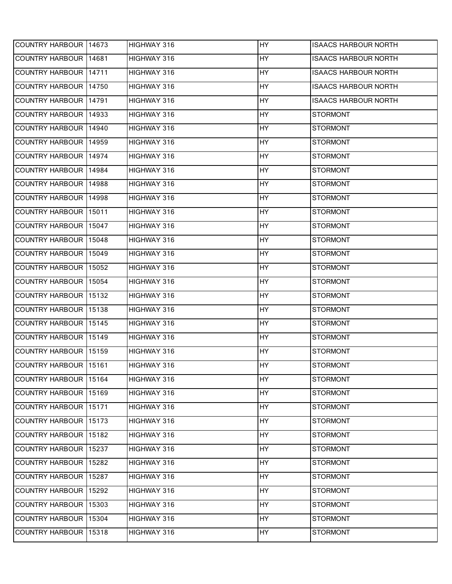| COUNTRY HARBOUR 14673   |       | HIGHWAY 316        | <b>HY</b> | <b>ISAACS HARBOUR NORTH</b> |
|-------------------------|-------|--------------------|-----------|-----------------------------|
| COUNTRY HARBOUR   14681 |       | HIGHWAY 316        | <b>HY</b> | <b>ISAACS HARBOUR NORTH</b> |
| COUNTRY HARBOUR 14711   |       | HIGHWAY 316        | <b>HY</b> | <b>ISAACS HARBOUR NORTH</b> |
| COUNTRY HARBOUR 14750   |       | HIGHWAY 316        | <b>HY</b> | <b>ISAACS HARBOUR NORTH</b> |
| COUNTRY HARBOUR 14791   |       | HIGHWAY 316        | <b>HY</b> | <b>ISAACS HARBOUR NORTH</b> |
| COUNTRY HARBOUR 14933   |       | HIGHWAY 316        | HY        | <b>STORMONT</b>             |
| COUNTRY HARBOUR   14940 |       | HIGHWAY 316        | <b>HY</b> | <b>STORMONT</b>             |
| COUNTRY HARBOUR   14959 |       | HIGHWAY 316        | HY        | <b>STORMONT</b>             |
| COUNTRY HARBOUR 14974   |       | HIGHWAY 316        | <b>HY</b> | <b>STORMONT</b>             |
| COUNTRY HARBOUR 14984   |       | HIGHWAY 316        | <b>HY</b> | <b>STORMONT</b>             |
| COUNTRY HARBOUR 14988   |       | HIGHWAY 316        | HY        | <b>STORMONT</b>             |
| COUNTRY HARBOUR 14998   |       | <b>HIGHWAY 316</b> | HY        | <b>STORMONT</b>             |
| COUNTRY HARBOUR 15011   |       | HIGHWAY 316        | <b>HY</b> | <b>STORMONT</b>             |
| COUNTRY HARBOUR 15047   |       | <b>HIGHWAY 316</b> | <b>HY</b> | <b>STORMONT</b>             |
| COUNTRY HARBOUR 15048   |       | HIGHWAY 316        | HY        | <b>STORMONT</b>             |
| COUNTRY HARBOUR 15049   |       | HIGHWAY 316        | HY        | <b>STORMONT</b>             |
| COUNTRY HARBOUR 15052   |       | HIGHWAY 316        | <b>HY</b> | <b>STORMONT</b>             |
| COUNTRY HARBOUR 15054   |       | HIGHWAY 316        | HY        | <b>STORMONT</b>             |
| <b>COUNTRY HARBOUR</b>  | 15132 | HIGHWAY 316        | <b>HY</b> | <b>STORMONT</b>             |
| COUNTRY HARBOUR 15138   |       | HIGHWAY 316        | HY        | <b>STORMONT</b>             |
| COUNTRY HARBOUR 15145   |       | HIGHWAY 316        | <b>HY</b> | <b>STORMONT</b>             |
| COUNTRY HARBOUR 15149   |       | HIGHWAY 316        | HY        | <b>STORMONT</b>             |
| COUNTRY HARBOUR 15159   |       | HIGHWAY 316        | HY        | <b>STORMONT</b>             |
| COUNTRY HARBOUR 15161   |       | HIGHWAY 316        | HY        | <b>STORMONT</b>             |
| COUNTRY HARBOUR 15164   |       | HIGHWAY 316        | <b>HY</b> | <b>STORMONT</b>             |
| COUNTRY HARBOUR 15169   |       | HIGHWAY 316        | HY        | <b>STORMONT</b>             |
| COUNTRY HARBOUR 15171   |       | HIGHWAY 316        | <b>HY</b> | <b>STORMONT</b>             |
| COUNTRY HARBOUR 15173   |       | HIGHWAY 316        | HY        | <b>STORMONT</b>             |
| COUNTRY HARBOUR 15182   |       | HIGHWAY 316        | HY        | <b>STORMONT</b>             |
| COUNTRY HARBOUR 15237   |       | HIGHWAY 316        | <b>HY</b> | <b>STORMONT</b>             |
| COUNTRY HARBOUR 15282   |       | HIGHWAY 316        | <b>HY</b> | <b>STORMONT</b>             |
| COUNTRY HARBOUR 15287   |       | HIGHWAY 316        | HY        | <b>STORMONT</b>             |
| COUNTRY HARBOUR 15292   |       | HIGHWAY 316        | <b>HY</b> | <b>STORMONT</b>             |
| COUNTRY HARBOUR 15303   |       | HIGHWAY 316        | <b>HY</b> | <b>STORMONT</b>             |
| COUNTRY HARBOUR 15304   |       | HIGHWAY 316        | HY        | <b>STORMONT</b>             |
| COUNTRY HARBOUR 15318   |       | HIGHWAY 316        | HY        | <b>STORMONT</b>             |
|                         |       |                    |           |                             |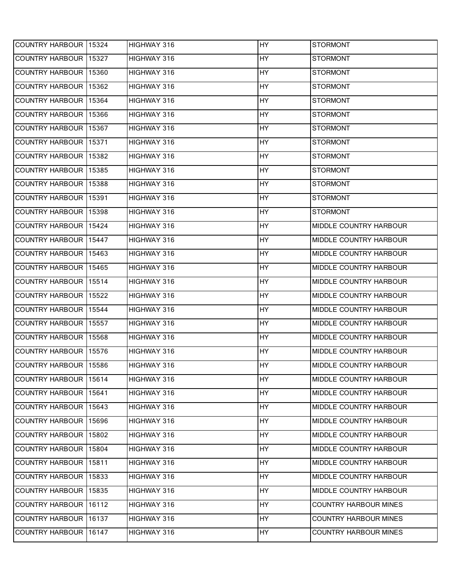| COUNTRY HARBOUR 15324        | HIGHWAY 316 | <b>HY</b> | <b>STORMONT</b>              |
|------------------------------|-------------|-----------|------------------------------|
| <b>COUNTRY HARBOUR 15327</b> | HIGHWAY 316 | HY        | <b>STORMONT</b>              |
| COUNTRY HARBOUR 15360        | HIGHWAY 316 | HY        | <b>STORMONT</b>              |
| COUNTRY HARBOUR 15362        | HIGHWAY 316 | <b>HY</b> | <b>STORMONT</b>              |
| COUNTRY HARBOUR 15364        | HIGHWAY 316 | <b>HY</b> | <b>STORMONT</b>              |
| COUNTRY HARBOUR 15366        | HIGHWAY 316 | HY        | <b>STORMONT</b>              |
| COUNTRY HARBOUR 15367        | HIGHWAY 316 | <b>HY</b> | <b>STORMONT</b>              |
| COUNTRY HARBOUR 15371        | HIGHWAY 316 | HY        | <b>STORMONT</b>              |
| COUNTRY HARBOUR 15382        | HIGHWAY 316 | HY        | <b>STORMONT</b>              |
| COUNTRY HARBOUR 15385        | HIGHWAY 316 | HY        | <b>STORMONT</b>              |
| COUNTRY HARBOUR 15388        | HIGHWAY 316 | <b>HY</b> | <b>STORMONT</b>              |
| COUNTRY HARBOUR 15391        | HIGHWAY 316 | <b>HY</b> | <b>STORMONT</b>              |
| COUNTRY HARBOUR 15398        | HIGHWAY 316 | <b>HY</b> | <b>STORMONT</b>              |
| COUNTRY HARBOUR 15424        | HIGHWAY 316 | <b>HY</b> | MIDDLE COUNTRY HARBOUR       |
| COUNTRY HARBOUR 15447        | HIGHWAY 316 | HY        | MIDDLE COUNTRY HARBOUR       |
| <b>COUNTRY HARBOUR 15463</b> | HIGHWAY 316 | HY        | MIDDLE COUNTRY HARBOUR       |
| COUNTRY HARBOUR 15465        | HIGHWAY 316 | <b>HY</b> | MIDDLE COUNTRY HARBOUR       |
| COUNTRY HARBOUR 15514        | HIGHWAY 316 | <b>HY</b> | MIDDLE COUNTRY HARBOUR       |
| COUNTRY HARBOUR 15522        | HIGHWAY 316 | HY        | MIDDLE COUNTRY HARBOUR       |
| COUNTRY HARBOUR 15544        | HIGHWAY 316 | HY        | MIDDLE COUNTRY HARBOUR       |
| COUNTRY HARBOUR 15557        | HIGHWAY 316 | <b>HY</b> | MIDDLE COUNTRY HARBOUR       |
| COUNTRY HARBOUR 15568        | HIGHWAY 316 | HY        | MIDDLE COUNTRY HARBOUR       |
| COUNTRY HARBOUR 15576        | HIGHWAY 316 | HY        | MIDDLE COUNTRY HARBOUR       |
| COUNTRY HARBOUR 15586        | HIGHWAY 316 | <b>HY</b> | MIDDLE COUNTRY HARBOUR       |
| COUNTRY HARBOUR   15614      | HIGHWAY 316 | <b>HY</b> | MIDDLE COUNTRY HARBOUR       |
| COUNTRY HARBOUR 15641        | HIGHWAY 316 | HY        | MIDDLE COUNTRY HARBOUR       |
| COUNTRY HARBOUR 15643        | HIGHWAY 316 | <b>HY</b> | MIDDLE COUNTRY HARBOUR       |
| COUNTRY HARBOUR 15696        | HIGHWAY 316 | <b>HY</b> | MIDDLE COUNTRY HARBOUR       |
| COUNTRY HARBOUR 15802        | HIGHWAY 316 | HY        | MIDDLE COUNTRY HARBOUR       |
| COUNTRY HARBOUR 15804        | HIGHWAY 316 | <b>HY</b> | MIDDLE COUNTRY HARBOUR       |
| COUNTRY HARBOUR 15811        | HIGHWAY 316 | HY        | MIDDLE COUNTRY HARBOUR       |
| COUNTRY HARBOUR   15833      | HIGHWAY 316 | HY        | MIDDLE COUNTRY HARBOUR       |
| COUNTRY HARBOUR 15835        | HIGHWAY 316 | <b>HY</b> | MIDDLE COUNTRY HARBOUR       |
| COUNTRY HARBOUR 16112        | HIGHWAY 316 | <b>HY</b> | <b>COUNTRY HARBOUR MINES</b> |
| COUNTRY HARBOUR 16137        | HIGHWAY 316 | HY        | <b>COUNTRY HARBOUR MINES</b> |
| COUNTRY HARBOUR 16147        | HIGHWAY 316 | HY        | <b>COUNTRY HARBOUR MINES</b> |
|                              |             |           |                              |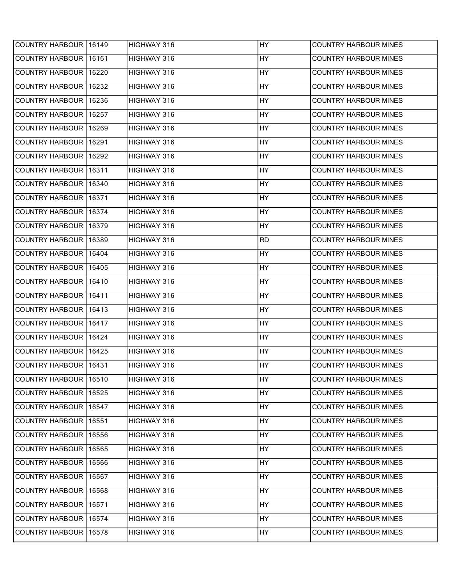| COUNTRY HARBOUR 16149   |       | HIGHWAY 316 | <b>HY</b> | <b>COUNTRY HARBOUR MINES</b> |
|-------------------------|-------|-------------|-----------|------------------------------|
| COUNTRY HARBOUR 16161   |       | HIGHWAY 316 | HY        | <b>COUNTRY HARBOUR MINES</b> |
| COUNTRY HARBOUR 16220   |       | HIGHWAY 316 | <b>HY</b> | COUNTRY HARBOUR MINES        |
| <b>COUNTRY HARBOUR</b>  | 16232 | HIGHWAY 316 | HY        | <b>COUNTRY HARBOUR MINES</b> |
| <b>COUNTRY HARBOUR</b>  | 16236 | HIGHWAY 316 | HY        | COUNTRY HARBOUR MINES        |
| COUNTRY HARBOUR 16257   |       | HIGHWAY 316 | HY        | COUNTRY HARBOUR MINES        |
| <b>COUNTRY HARBOUR</b>  | 16269 | HIGHWAY 316 | <b>HY</b> | <b>COUNTRY HARBOUR MINES</b> |
| COUNTRY HARBOUR 16291   |       | HIGHWAY 316 | HY        | COUNTRY HARBOUR MINES        |
| <b>COUNTRY HARBOUR</b>  | 16292 | HIGHWAY 316 | HY        | <b>COUNTRY HARBOUR MINES</b> |
| COUNTRY HARBOUR 16311   |       | HIGHWAY 316 | <b>HY</b> | <b>COUNTRY HARBOUR MINES</b> |
| <b>COUNTRY HARBOUR</b>  | 16340 | HIGHWAY 316 | HY        | <b>COUNTRY HARBOUR MINES</b> |
| <b>COUNTRY HARBOUR</b>  | 16371 | HIGHWAY 316 | HY        | COUNTRY HARBOUR MINES        |
| COUNTRY HARBOUR 16374   |       | HIGHWAY 316 | <b>HY</b> | COUNTRY HARBOUR MINES        |
| <b>COUNTRY HARBOUR</b>  | 16379 | HIGHWAY 316 | HY        | <b>COUNTRY HARBOUR MINES</b> |
| COUNTRY HARBOUR 16389   |       | HIGHWAY 316 | <b>RD</b> | <b>COUNTRY HARBOUR MINES</b> |
| COUNTRY HARBOUR 16404   |       | HIGHWAY 316 | HY        | <b>COUNTRY HARBOUR MINES</b> |
| <b>COUNTRY HARBOUR</b>  | 16405 | HIGHWAY 316 | <b>HY</b> | <b>COUNTRY HARBOUR MINES</b> |
| COUNTRY HARBOUR 16410   |       | HIGHWAY 316 | HY        | COUNTRY HARBOUR MINES        |
| <b>COUNTRY HARBOUR</b>  | 16411 | HIGHWAY 316 | HY        | COUNTRY HARBOUR MINES        |
| COUNTRY HARBOUR 16413   |       | HIGHWAY 316 | <b>HY</b> | <b>COUNTRY HARBOUR MINES</b> |
| <b>COUNTRY HARBOUR</b>  | 16417 | HIGHWAY 316 | HY        | <b>COUNTRY HARBOUR MINES</b> |
| COUNTRY HARBOUR 16424   |       | HIGHWAY 316 | HY        | <b>COUNTRY HARBOUR MINES</b> |
| COUNTRY HARBOUR 16425   |       | HIGHWAY 316 | <b>HY</b> | <b>COUNTRY HARBOUR MINES</b> |
| COUNTRY HARBOUR 16431   |       | HIGHWAY 316 | <b>HY</b> | <b>COUNTRY HARBOUR MINES</b> |
| COUNTRY HARBOUR 16510   |       | HIGHWAY 316 | HY        | <b>COUNTRY HARBOUR MINES</b> |
| COUNTRY HARBOUR 16525   |       | HIGHWAY 316 | HY        | COUNTRY HARBOUR MINES        |
| COUNTRY HARBOUR 16547   |       | HIGHWAY 316 | <b>HY</b> | <b>COUNTRY HARBOUR MINES</b> |
| COUNTRY HARBOUR 16551   |       | HIGHWAY 316 | HY        | <b>COUNTRY HARBOUR MINES</b> |
| <b>COUNTRY HARBOUR</b>  | 16556 | HIGHWAY 316 | HY        | <b>COUNTRY HARBOUR MINES</b> |
| COUNTRY HARBOUR 16565   |       | HIGHWAY 316 | <b>HY</b> | <b>COUNTRY HARBOUR MINES</b> |
| COUNTRY HARBOUR 16566   |       | HIGHWAY 316 | HY        | COUNTRY HARBOUR MINES        |
| COUNTRY HARBOUR 16567   |       | HIGHWAY 316 | HY        | COUNTRY HARBOUR MINES        |
| COUNTRY HARBOUR 16568   |       | HIGHWAY 316 | <b>HY</b> | COUNTRY HARBOUR MINES        |
| COUNTRY HARBOUR   16571 |       | HIGHWAY 316 | HY        | <b>COUNTRY HARBOUR MINES</b> |
| COUNTRY HARBOUR 16574   |       | HIGHWAY 316 | HY        | <b>COUNTRY HARBOUR MINES</b> |
| COUNTRY HARBOUR 16578   |       | HIGHWAY 316 | HY        | <b>COUNTRY HARBOUR MINES</b> |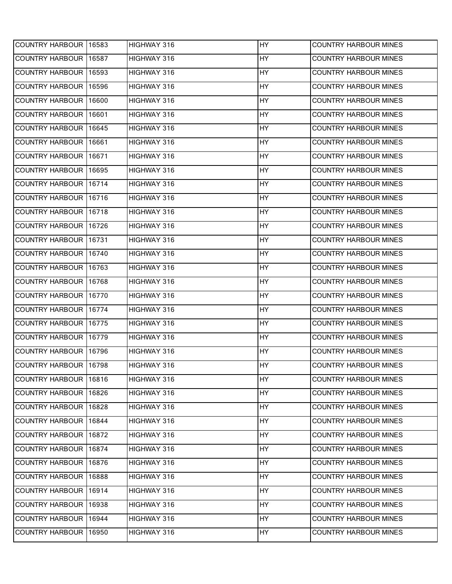| COUNTRY HARBOUR 16583  |        | HIGHWAY 316 | <b>HY</b> | <b>COUNTRY HARBOUR MINES</b> |
|------------------------|--------|-------------|-----------|------------------------------|
| COUNTRY HARBOUR 16587  |        | HIGHWAY 316 | HY        | <b>COUNTRY HARBOUR MINES</b> |
| COUNTRY HARBOUR 16593  |        | HIGHWAY 316 | <b>HY</b> | COUNTRY HARBOUR MINES        |
| <b>COUNTRY HARBOUR</b> | 16596  | HIGHWAY 316 | HY        | <b>COUNTRY HARBOUR MINES</b> |
| <b>COUNTRY HARBOUR</b> | 16600  | HIGHWAY 316 | HY        | COUNTRY HARBOUR MINES        |
| COUNTRY HARBOUR 16601  |        | HIGHWAY 316 | HY        | COUNTRY HARBOUR MINES        |
| <b>COUNTRY HARBOUR</b> | 16645  | HIGHWAY 316 | <b>HY</b> | <b>COUNTRY HARBOUR MINES</b> |
| <b>COUNTRY HARBOUR</b> | 16661  | HIGHWAY 316 | HY        | COUNTRY HARBOUR MINES        |
| <b>COUNTRY HARBOUR</b> | 116671 | HIGHWAY 316 | HY        | <b>COUNTRY HARBOUR MINES</b> |
| <b>COUNTRY HARBOUR</b> | 16695  | HIGHWAY 316 | <b>HY</b> | <b>COUNTRY HARBOUR MINES</b> |
| COUNTRY HARBOUR 16714  |        | HIGHWAY 316 | HY        | <b>COUNTRY HARBOUR MINES</b> |
| <b>COUNTRY HARBOUR</b> | 16716  | HIGHWAY 316 | <b>HY</b> | <b>COUNTRY HARBOUR MINES</b> |
| COUNTRY HARBOUR 16718  |        | HIGHWAY 316 | <b>HY</b> | COUNTRY HARBOUR MINES        |
| <b>COUNTRY HARBOUR</b> | 16726  | HIGHWAY 316 | HY        | <b>COUNTRY HARBOUR MINES</b> |
| COUNTRY HARBOUR 16731  |        | HIGHWAY 316 | HY        | <b>COUNTRY HARBOUR MINES</b> |
| COUNTRY HARBOUR 16740  |        | HIGHWAY 316 | HY        | <b>COUNTRY HARBOUR MINES</b> |
| <b>COUNTRY HARBOUR</b> | 16763  | HIGHWAY 316 | <b>HY</b> | <b>COUNTRY HARBOUR MINES</b> |
| <b>COUNTRY HARBOUR</b> | 16768  | HIGHWAY 316 | HY        | COUNTRY HARBOUR MINES        |
| <b>COUNTRY HARBOUR</b> | 16770  | HIGHWAY 316 | HY        | COUNTRY HARBOUR MINES        |
| COUNTRY HARBOUR 16774  |        | HIGHWAY 316 | <b>HY</b> | <b>COUNTRY HARBOUR MINES</b> |
| <b>COUNTRY HARBOUR</b> | 16775  | HIGHWAY 316 | HY        | <b>COUNTRY HARBOUR MINES</b> |
| COUNTRY HARBOUR 16779  |        | HIGHWAY 316 | HY        | <b>COUNTRY HARBOUR MINES</b> |
| COUNTRY HARBOUR 16796  |        | HIGHWAY 316 | <b>HY</b> | <b>COUNTRY HARBOUR MINES</b> |
| COUNTRY HARBOUR 16798  |        | HIGHWAY 316 | <b>HY</b> | <b>COUNTRY HARBOUR MINES</b> |
| COUNTRY HARBOUR 16816  |        | HIGHWAY 316 | HY        | <b>COUNTRY HARBOUR MINES</b> |
| COUNTRY HARBOUR 16826  |        | HIGHWAY 316 | HY        | COUNTRY HARBOUR MINES        |
| COUNTRY HARBOUR 16828  |        | HIGHWAY 316 | <b>HY</b> | <b>COUNTRY HARBOUR MINES</b> |
| COUNTRY HARBOUR 16844  |        | HIGHWAY 316 | HY        | COUNTRY HARBOUR MINES        |
| <b>COUNTRY HARBOUR</b> | 16872  | HIGHWAY 316 | HY        | <b>COUNTRY HARBOUR MINES</b> |
| COUNTRY HARBOUR 16874  |        | HIGHWAY 316 | <b>HY</b> | <b>COUNTRY HARBOUR MINES</b> |
| COUNTRY HARBOUR 16876  |        | HIGHWAY 316 | HY        | COUNTRY HARBOUR MINES        |
| COUNTRY HARBOUR 16888  |        | HIGHWAY 316 | HY        | COUNTRY HARBOUR MINES        |
| COUNTRY HARBOUR 16914  |        | HIGHWAY 316 | <b>HY</b> | COUNTRY HARBOUR MINES        |
| COUNTRY HARBOUR 16938  |        | HIGHWAY 316 | HY        | <b>COUNTRY HARBOUR MINES</b> |
| COUNTRY HARBOUR 16944  |        | HIGHWAY 316 | HY        | <b>COUNTRY HARBOUR MINES</b> |
| COUNTRY HARBOUR 16950  |        | HIGHWAY 316 | HY        | <b>COUNTRY HARBOUR MINES</b> |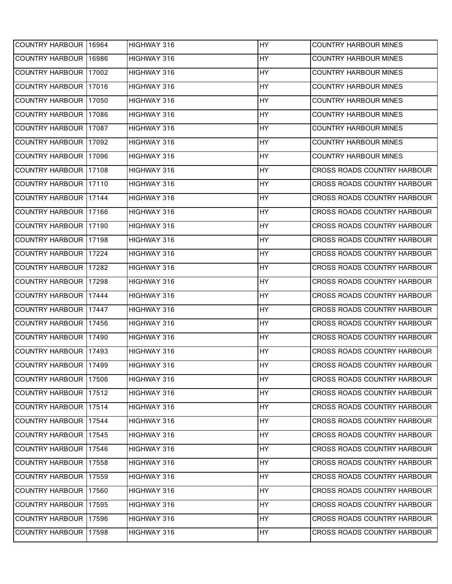| COUNTRY HARBOUR 16964        |        | HIGHWAY 316 | HY  | <b>COUNTRY HARBOUR MINES</b>       |
|------------------------------|--------|-------------|-----|------------------------------------|
| <b>COUNTRY HARBOUR</b>       | 16986  | HIGHWAY 316 | HY  | <b>COUNTRY HARBOUR MINES</b>       |
| <b>COUNTRY HARBOUR</b>       | 117002 | HIGHWAY 316 | HY  | <b>COUNTRY HARBOUR MINES</b>       |
| <b>COUNTRY HARBOUR</b>       | 17016  | HIGHWAY 316 | HY  | <b>COUNTRY HARBOUR MINES</b>       |
| <b>COUNTRY HARBOUR</b>       | 17050  | HIGHWAY 316 | HY  | <b>COUNTRY HARBOUR MINES</b>       |
| <b>COUNTRY HARBOUR</b>       | 17086  | HIGHWAY 316 | HY  | <b>COUNTRY HARBOUR MINES</b>       |
| <b>COUNTRY HARBOUR</b>       | 17087  | HIGHWAY 316 | HY  | <b>COUNTRY HARBOUR MINES</b>       |
| <b>COUNTRY HARBOUR</b>       | 17092  | HIGHWAY 316 | HY  | <b>COUNTRY HARBOUR MINES</b>       |
| <b>COUNTRY HARBOUR</b>       | 17096  | HIGHWAY 316 | HY  | <b>COUNTRY HARBOUR MINES</b>       |
| COUNTRY HARBOUR 17108        |        | HIGHWAY 316 | HY  | CROSS ROADS COUNTRY HARBOUR        |
| <b>COUNTRY HARBOUR</b>       | 17110  | HIGHWAY 316 | HY  | CROSS ROADS COUNTRY HARBOUR        |
| <b>COUNTRY HARBOUR</b>       | 17144  | HIGHWAY 316 | HY  | CROSS ROADS COUNTRY HARBOUR        |
| <b>COUNTRY HARBOUR</b>       | 17166  | HIGHWAY 316 | HY  | CROSS ROADS COUNTRY HARBOUR        |
| <b>COUNTRY HARBOUR</b>       | 17190  | HIGHWAY 316 | HY  | <b>CROSS ROADS COUNTRY HARBOUR</b> |
| <b>COUNTRY HARBOUR 17198</b> |        | HIGHWAY 316 | HY  | <b>CROSS ROADS COUNTRY HARBOUR</b> |
| <b>COUNTRY HARBOUR</b>       | 17224  | HIGHWAY 316 | HY. | CROSS ROADS COUNTRY HARBOUR        |
| <b>COUNTRY HARBOUR</b>       | 17282  | HIGHWAY 316 | HY  | CROSS ROADS COUNTRY HARBOUR        |
| <b>COUNTRY HARBOUR</b>       | 17298  | HIGHWAY 316 | HY  | CROSS ROADS COUNTRY HARBOUR        |
| <b>COUNTRY HARBOUR</b>       | 17444  | HIGHWAY 316 | HY  | CROSS ROADS COUNTRY HARBOUR        |
| COUNTRY HARBOUR 17447        |        | HIGHWAY 316 | HY  | CROSS ROADS COUNTRY HARBOUR        |
| <b>COUNTRY HARBOUR</b>       | 17456  | HIGHWAY 316 | HY  | CROSS ROADS COUNTRY HARBOUR        |
| <b>COUNTRY HARBOUR</b>       | 17490  | HIGHWAY 316 | HY  | CROSS ROADS COUNTRY HARBOUR        |
| COUNTRY HARBOUR 17493        |        | HIGHWAY 316 | HY. | CROSS ROADS COUNTRY HARBOUR        |
| COUNTRY HARBOUR 17499        |        | HIGHWAY 316 | HY  | CROSS ROADS COUNTRY HARBOUR        |
| <b>COUNTRY HARBOUR</b>       | 17506  | HIGHWAY 316 | HY. | CROSS ROADS COUNTRY HARBOUR        |
| COUNTRY HARBOUR 17512        |        | HIGHWAY 316 | HY  | CROSS ROADS COUNTRY HARBOUR        |
| <b>COUNTRY HARBOUR</b>       | 17514  | HIGHWAY 316 | HY  | CROSS ROADS COUNTRY HARBOUR        |
| <b>COUNTRY HARBOUR</b>       | 17544  | HIGHWAY 316 | HY. | CROSS ROADS COUNTRY HARBOUR        |
| <b>COUNTRY HARBOUR</b>       | 17545  | HIGHWAY 316 | HY. | CROSS ROADS COUNTRY HARBOUR        |
| <b>COUNTRY HARBOUR</b>       | 17546  | HIGHWAY 316 | HY  | CROSS ROADS COUNTRY HARBOUR        |
| <b>COUNTRY HARBOUR</b>       | 17558  | HIGHWAY 316 | HY  | CROSS ROADS COUNTRY HARBOUR        |
| <b>COUNTRY HARBOUR</b>       | 17559  | HIGHWAY 316 | HY  | CROSS ROADS COUNTRY HARBOUR        |
| <b>COUNTRY HARBOUR</b>       | 17560  | HIGHWAY 316 | HY. | CROSS ROADS COUNTRY HARBOUR        |
| <b>COUNTRY HARBOUR</b>       | 17595  | HIGHWAY 316 | HY. | CROSS ROADS COUNTRY HARBOUR        |
| COUNTRY HARBOUR 17596        |        | HIGHWAY 316 | HY. | CROSS ROADS COUNTRY HARBOUR        |
| COUNTRY HARBOUR 17598        |        | HIGHWAY 316 | HY  | CROSS ROADS COUNTRY HARBOUR        |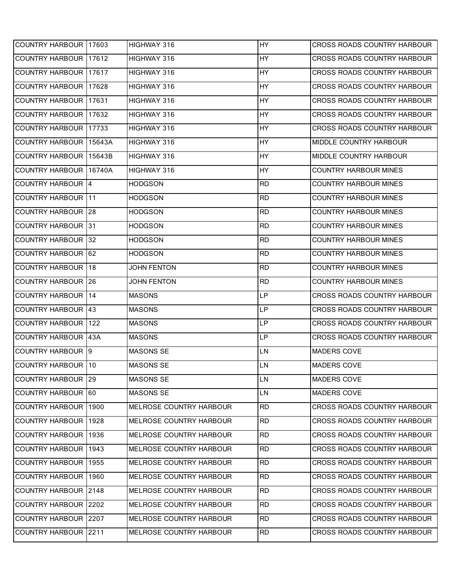| COUNTRY HARBOUR 17603         |       | HIGHWAY 316             | <b>HY</b> | <b>CROSS ROADS COUNTRY HARBOUR</b> |
|-------------------------------|-------|-------------------------|-----------|------------------------------------|
| <b>COUNTRY HARBOUR 117612</b> |       | HIGHWAY 316             | HY        | CROSS ROADS COUNTRY HARBOUR        |
| COUNTRY HARBOUR 17617         |       | HIGHWAY 316             | HY        | CROSS ROADS COUNTRY HARBOUR        |
| COUNTRY HARBOUR 17628         |       | HIGHWAY 316             | <b>HY</b> | CROSS ROADS COUNTRY HARBOUR        |
| COUNTRY HARBOUR 17631         |       | HIGHWAY 316             | HY        | CROSS ROADS COUNTRY HARBOUR        |
| COUNTRY HARBOUR 17632         |       | HIGHWAY 316             | <b>HY</b> | CROSS ROADS COUNTRY HARBOUR        |
| <b>COUNTRY HARBOUR</b>        | 17733 | HIGHWAY 316             | <b>HY</b> | CROSS ROADS COUNTRY HARBOUR        |
| COUNTRY HARBOUR 15643A        |       | HIGHWAY 316             | HY        | MIDDLE COUNTRY HARBOUR             |
| COUNTRY HARBOUR 15643B        |       | HIGHWAY 316             | <b>HY</b> | MIDDLE COUNTRY HARBOUR             |
| COUNTRY HARBOUR 16740A        |       | HIGHWAY 316             | <b>HY</b> | <b>COUNTRY HARBOUR MINES</b>       |
| COUNTRY HARBOUR 4             |       | <b>HODGSON</b>          | <b>RD</b> | <b>COUNTRY HARBOUR MINES</b>       |
| <b>COUNTRY HARBOUR 11</b>     |       | <b>HODGSON</b>          | <b>RD</b> | <b>COUNTRY HARBOUR MINES</b>       |
| <b>COUNTRY HARBOUR 28</b>     |       | <b>HODGSON</b>          | <b>RD</b> | <b>COUNTRY HARBOUR MINES</b>       |
| COUNTRY HARBOUR 31            |       | <b>HODGSON</b>          | <b>RD</b> | <b>COUNTRY HARBOUR MINES</b>       |
| <b>COUNTRY HARBOUR 32</b>     |       | <b>HODGSON</b>          | <b>RD</b> | <b>COUNTRY HARBOUR MINES</b>       |
| <b>COUNTRY HARBOUR 62</b>     |       | <b>HODGSON</b>          | <b>RD</b> | <b>COUNTRY HARBOUR MINES</b>       |
| <b>COUNTRY HARBOUR</b>        | 18    | <b>JOHN FENTON</b>      | <b>RD</b> | <b>COUNTRY HARBOUR MINES</b>       |
| <b>COUNTRY HARBOUR 26</b>     |       | <b>JOHN FENTON</b>      | <b>RD</b> | <b>COUNTRY HARBOUR MINES</b>       |
| <b>COUNTRY HARBOUR 14</b>     |       | <b>MASONS</b>           | <b>LP</b> | CROSS ROADS COUNTRY HARBOUR        |
| COUNTRY HARBOUR 43            |       | <b>MASONS</b>           | <b>LP</b> | CROSS ROADS COUNTRY HARBOUR        |
| <b>COUNTRY HARBOUR</b>        | 1122  | <b>MASONS</b>           | LP        | CROSS ROADS COUNTRY HARBOUR        |
| <b>COUNTRY HARBOUR 43A</b>    |       | <b>MASONS</b>           | LP        | CROSS ROADS COUNTRY HARBOUR        |
| <b>COUNTRY HARBOUR 9</b>      |       | <b>MASONS SE</b>        | LN        | <b>MADERS COVE</b>                 |
| COUNTRY HARBOUR 10            |       | <b>MASONS SE</b>        | <b>LN</b> | <b>MADERS COVE</b>                 |
| COUNTRY HARBOUR   29          |       | <b>MASONS SE</b>        | <b>LN</b> | MADERS COVE                        |
| COUNTRY HARBOUR 60            |       | <b>MASONS SE</b>        | LN        | MADERS COVE                        |
| <b>COUNTRY HARBOUR</b>        | 1900  | MELROSE COUNTRY HARBOUR | <b>RD</b> | CROSS ROADS COUNTRY HARBOUR        |
| COUNTRY HARBOUR 1928          |       | MELROSE COUNTRY HARBOUR | <b>RD</b> | CROSS ROADS COUNTRY HARBOUR        |
| COUNTRY HARBOUR 1936          |       | MELROSE COUNTRY HARBOUR | <b>RD</b> | CROSS ROADS COUNTRY HARBOUR        |
| COUNTRY HARBOUR 1943          |       | MELROSE COUNTRY HARBOUR | <b>RD</b> | CROSS ROADS COUNTRY HARBOUR        |
| COUNTRY HARBOUR 1955          |       | MELROSE COUNTRY HARBOUR | <b>RD</b> | CROSS ROADS COUNTRY HARBOUR        |
| COUNTRY HARBOUR 1960          |       | MELROSE COUNTRY HARBOUR | <b>RD</b> | CROSS ROADS COUNTRY HARBOUR        |
| COUNTRY HARBOUR 2148          |       | MELROSE COUNTRY HARBOUR | <b>RD</b> | CROSS ROADS COUNTRY HARBOUR        |
| COUNTRY HARBOUR 2202          |       | MELROSE COUNTRY HARBOUR | <b>RD</b> | CROSS ROADS COUNTRY HARBOUR        |
| COUNTRY HARBOUR 2207          |       | MELROSE COUNTRY HARBOUR | <b>RD</b> | CROSS ROADS COUNTRY HARBOUR        |
| <b>COUNTRY HARBOUR 2211</b>   |       | MELROSE COUNTRY HARBOUR | <b>RD</b> | CROSS ROADS COUNTRY HARBOUR        |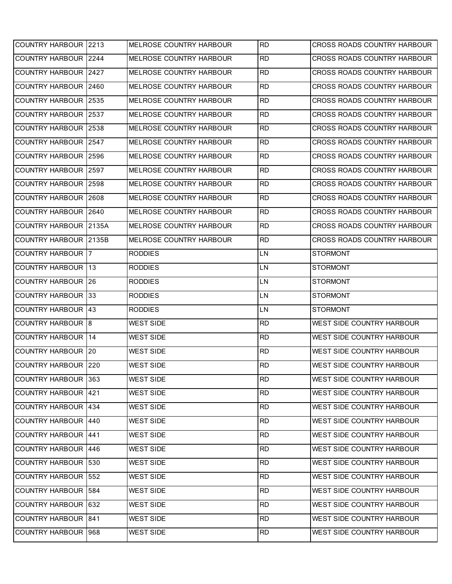| COUNTRY HARBOUR 2213       |       | MELROSE COUNTRY HARBOUR | <b>RD</b> | CROSS ROADS COUNTRY HARBOUR        |
|----------------------------|-------|-------------------------|-----------|------------------------------------|
| <b>COUNTRY HARBOUR</b>     | 2244  | MELROSE COUNTRY HARBOUR | <b>RD</b> | <b>CROSS ROADS COUNTRY HARBOUR</b> |
| <b>COUNTRY HARBOUR</b>     | 2427  | MELROSE COUNTRY HARBOUR | <b>RD</b> | CROSS ROADS COUNTRY HARBOUR        |
| <b>COUNTRY HARBOUR</b>     | 2460  | MELROSE COUNTRY HARBOUR | <b>RD</b> | CROSS ROADS COUNTRY HARBOUR        |
| <b>COUNTRY HARBOUR</b>     | 2535  | MELROSE COUNTRY HARBOUR | <b>RD</b> | CROSS ROADS COUNTRY HARBOUR        |
| <b>COUNTRY HARBOUR</b>     | 2537  | MELROSE COUNTRY HARBOUR | <b>RD</b> | CROSS ROADS COUNTRY HARBOUR        |
| <b>COUNTRY HARBOUR</b>     | 2538  | MELROSE COUNTRY HARBOUR | <b>RD</b> | CROSS ROADS COUNTRY HARBOUR        |
| <b>COUNTRY HARBOUR</b>     | 2547  | MELROSE COUNTRY HARBOUR | <b>RD</b> | <b>CROSS ROADS COUNTRY HARBOUR</b> |
| <b>COUNTRY HARBOUR</b>     | 2596  | MELROSE COUNTRY HARBOUR | <b>RD</b> | <b>CROSS ROADS COUNTRY HARBOUR</b> |
| <b>COUNTRY HARBOUR</b>     | 2597  | MELROSE COUNTRY HARBOUR | <b>RD</b> | CROSS ROADS COUNTRY HARBOUR        |
| <b>COUNTRY HARBOUR</b>     | 2598  | MELROSE COUNTRY HARBOUR | <b>RD</b> | CROSS ROADS COUNTRY HARBOUR        |
| <b>COUNTRY HARBOUR</b>     | 2608  | MELROSE COUNTRY HARBOUR | <b>RD</b> | <b>CROSS ROADS COUNTRY HARBOUR</b> |
| <b>COUNTRY HARBOUR</b>     | 2640  | MELROSE COUNTRY HARBOUR | <b>RD</b> | CROSS ROADS COUNTRY HARBOUR        |
| <b>COUNTRY HARBOUR</b>     | 2135A | MELROSE COUNTRY HARBOUR | <b>RD</b> | <b>CROSS ROADS COUNTRY HARBOUR</b> |
| <b>COUNTRY HARBOUR</b>     | 2135B | MELROSE COUNTRY HARBOUR | <b>RD</b> | CROSS ROADS COUNTRY HARBOUR        |
| <b>COUNTRY HARBOUR 7</b>   |       | <b>RODDIES</b>          | LN        | <b>STORMONT</b>                    |
| <b>COUNTRY HARBOUR</b>     | 113   | <b>RODDIES</b>          | LN        | <b>STORMONT</b>                    |
| <b>COUNTRY HARBOUR</b>     | 126   | <b>RODDIES</b>          | LN        | <b>STORMONT</b>                    |
|                            |       |                         |           |                                    |
| <b>COUNTRY HARBOUR</b>     | 33    | <b>RODDIES</b>          | LN        | <b>STORMONT</b>                    |
| COUNTRY HARBOUR 43         |       | <b>RODDIES</b>          | LN        | <b>STORMONT</b>                    |
| <b>COUNTRY HARBOUR 8</b>   |       | <b>WEST SIDE</b>        | <b>RD</b> | WEST SIDE COUNTRY HARBOUR          |
| <b>COUNTRY HARBOUR</b>     | 14    | <b>WEST SIDE</b>        | <b>RD</b> | WEST SIDE COUNTRY HARBOUR          |
| <b>COUNTRY HARBOUR 20</b>  |       | <b>WEST SIDE</b>        | <b>RD</b> | WEST SIDE COUNTRY HARBOUR          |
| <b>COUNTRY HARBOUR</b>     | 220   | <b>WEST SIDE</b>        | <b>RD</b> | WEST SIDE COUNTRY HARBOUR          |
| COUNTRY HARBOUR 363        |       | <b>WEST SIDE</b>        | <b>RD</b> | WEST SIDE COUNTRY HARBOUR          |
| COUNTRY HARBOUR 421        |       | <b>WEST SIDE</b>        | <b>RD</b> | WEST SIDE COUNTRY HARBOUR          |
| <b>COUNTRY HARBOUR 434</b> |       | <b>WEST SIDE</b>        | <b>RD</b> | WEST SIDE COUNTRY HARBOUR          |
| <b>COUNTRY HARBOUR</b>     | 1440  | <b>WEST SIDE</b>        | <b>RD</b> | WEST SIDE COUNTRY HARBOUR          |
| <b>COUNTRY HARBOUR</b>     | 1441  | <b>WEST SIDE</b>        | <b>RD</b> | WEST SIDE COUNTRY HARBOUR          |
| COUNTRY HARBOUR 446        |       | <b>WEST SIDE</b>        | <b>RD</b> | WEST SIDE COUNTRY HARBOUR          |
| <b>COUNTRY HARBOUR</b>     | 530   | <b>WEST SIDE</b>        | <b>RD</b> | WEST SIDE COUNTRY HARBOUR          |
| <b>COUNTRY HARBOUR</b>     | 552   | <b>WEST SIDE</b>        | <b>RD</b> | WEST SIDE COUNTRY HARBOUR          |
| <b>COUNTRY HARBOUR 584</b> |       | <b>WEST SIDE</b>        | <b>RD</b> | WEST SIDE COUNTRY HARBOUR          |
| <b>COUNTRY HARBOUR</b>     | 632   | <b>WEST SIDE</b>        | <b>RD</b> | WEST SIDE COUNTRY HARBOUR          |
| <b>COUNTRY HARBOUR 841</b> |       | <b>WEST SIDE</b>        | <b>RD</b> | WEST SIDE COUNTRY HARBOUR          |